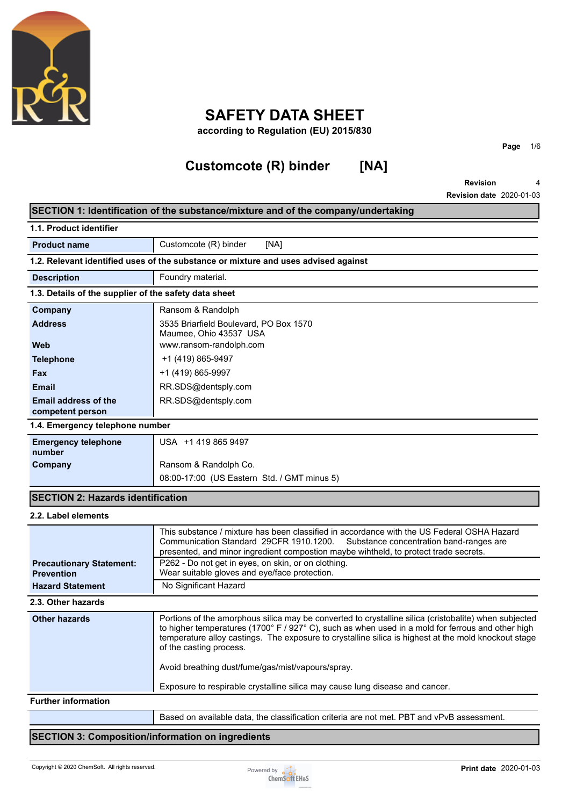

# **SAFETY DATA SHEET**

**according to Regulation (EU) 2015/830**

# **Customcote (R) binder [NA]**

**Page** 1/6

**Revision Revision date** 2020-01-03 4

| 1.1. Product identifier                               |                                                                                                                                                                                                                                                                                                                                               |  |
|-------------------------------------------------------|-----------------------------------------------------------------------------------------------------------------------------------------------------------------------------------------------------------------------------------------------------------------------------------------------------------------------------------------------|--|
|                                                       |                                                                                                                                                                                                                                                                                                                                               |  |
| Customcote (R) binder<br>[NA]<br><b>Product name</b>  |                                                                                                                                                                                                                                                                                                                                               |  |
|                                                       | 1.2. Relevant identified uses of the substance or mixture and uses advised against                                                                                                                                                                                                                                                            |  |
| Foundry material.<br><b>Description</b>               |                                                                                                                                                                                                                                                                                                                                               |  |
| 1.3. Details of the supplier of the safety data sheet |                                                                                                                                                                                                                                                                                                                                               |  |
| Company                                               | Ransom & Randolph                                                                                                                                                                                                                                                                                                                             |  |
| <b>Address</b>                                        | 3535 Briarfield Boulevard, PO Box 1570<br>Maumee, Ohio 43537 USA                                                                                                                                                                                                                                                                              |  |
| Web                                                   | www.ransom-randolph.com                                                                                                                                                                                                                                                                                                                       |  |
| <b>Telephone</b>                                      | +1 (419) 865-9497                                                                                                                                                                                                                                                                                                                             |  |
| Fax                                                   | +1 (419) 865-9997                                                                                                                                                                                                                                                                                                                             |  |
| <b>Email</b>                                          | RR.SDS@dentsply.com                                                                                                                                                                                                                                                                                                                           |  |
| <b>Email address of the</b><br>competent person       | RR.SDS@dentsply.com                                                                                                                                                                                                                                                                                                                           |  |
| 1.4. Emergency telephone number                       |                                                                                                                                                                                                                                                                                                                                               |  |
| <b>Emergency telephone</b><br>number                  | USA +1 419 865 9497                                                                                                                                                                                                                                                                                                                           |  |
| Company                                               | Ransom & Randolph Co.                                                                                                                                                                                                                                                                                                                         |  |
|                                                       | 08:00-17:00 (US Eastern Std. / GMT minus 5)                                                                                                                                                                                                                                                                                                   |  |
| <b>SECTION 2: Hazards identification</b>              |                                                                                                                                                                                                                                                                                                                                               |  |
| 2.2. Label elements                                   |                                                                                                                                                                                                                                                                                                                                               |  |
|                                                       | This substance / mixture has been classified in accordance with the US Federal OSHA Hazard<br>Communication Standard 29CFR 1910.1200.<br>Substance concentration band-ranges are<br>presented, and minor ingredient compostion maybe wihtheld, to protect trade secrets.                                                                      |  |
| <b>Precautionary Statement:</b><br><b>Prevention</b>  | P262 - Do not get in eyes, on skin, or on clothing.<br>Wear suitable gloves and eye/face protection.                                                                                                                                                                                                                                          |  |
| <b>Hazard Statement</b>                               | No Significant Hazard                                                                                                                                                                                                                                                                                                                         |  |
| 2.3. Other hazards                                    |                                                                                                                                                                                                                                                                                                                                               |  |
| <b>Other hazards</b>                                  | Portions of the amorphous silica may be converted to crystalline silica (cristobalite) when subjected<br>to higher temperatures (1700° F / 927° C), such as when used in a mold for ferrous and other high<br>temperature alloy castings. The exposure to crystalline silica is highest at the mold knockout stage<br>of the casting process. |  |
|                                                       | Avoid breathing dust/fume/gas/mist/vapours/spray.                                                                                                                                                                                                                                                                                             |  |
|                                                       | Exposure to respirable crystalline silica may cause lung disease and cancer.                                                                                                                                                                                                                                                                  |  |
| <b>Further information</b>                            |                                                                                                                                                                                                                                                                                                                                               |  |
|                                                       | Based on available data, the classification criteria are not met. PBT and vPvB assessment.                                                                                                                                                                                                                                                    |  |

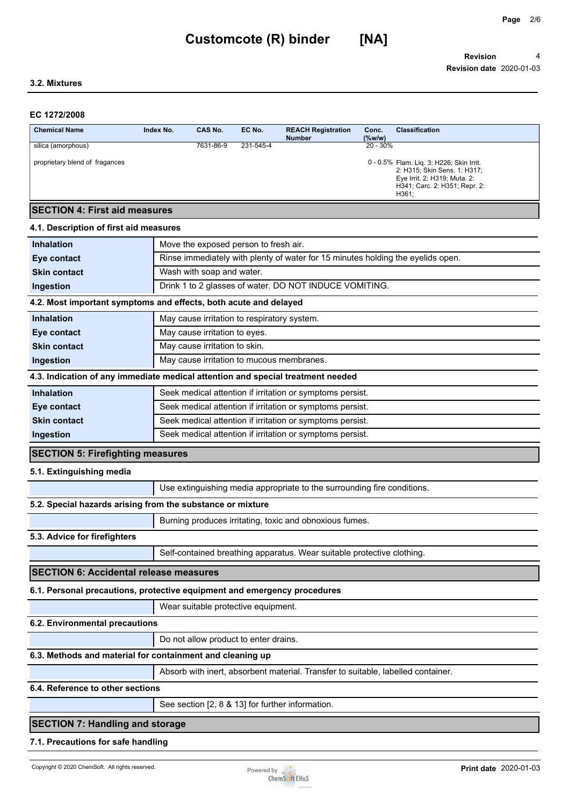## **3.2. Mixtures**

## **EC 1272/2008**

| <b>Chemical Name</b>                 | Index No. | CAS No.   | EC No.    | <b>REACH Registration</b><br><b>Number</b> | Conc.<br>$(\%w/w)$ | <b>Classification</b>                                                                                                                              |
|--------------------------------------|-----------|-----------|-----------|--------------------------------------------|--------------------|----------------------------------------------------------------------------------------------------------------------------------------------------|
| silica (amorphous)                   |           | 7631-86-9 | 231-545-4 |                                            | $20 - 30\%$        |                                                                                                                                                    |
| proprietary blend of fragances       |           |           |           |                                            |                    | 0 - 0.5% Flam. Lig. 3: H226; Skin Irrit.<br>2: H315; Skin Sens. 1: H317;<br>Eye Irrit. 2: H319; Muta. 2:<br>H341; Carc. 2: H351; Repr. 2:<br>H361: |
| <b>SECTION 4: First aid measures</b> |           |           |           |                                            |                    |                                                                                                                                                    |

## **4.1. Description of first aid measures**

| Move the exposed person to fresh air.<br><b>Inhalation</b>          |                                                                                  |  |  |  |  |
|---------------------------------------------------------------------|----------------------------------------------------------------------------------|--|--|--|--|
| Eye contact                                                         | Rinse immediately with plenty of water for 15 minutes holding the eyelids open.  |  |  |  |  |
| <b>Skin contact</b>                                                 | Wash with soap and water.                                                        |  |  |  |  |
| Drink 1 to 2 glasses of water. DO NOT INDUCE VOMITING.<br>Ingestion |                                                                                  |  |  |  |  |
|                                                                     | 4.2. Most important symptoms and effects, both acute and delayed                 |  |  |  |  |
| <b>Inhalation</b>                                                   | May cause irritation to respiratory system.                                      |  |  |  |  |
| Eye contact                                                         | May cause irritation to eyes.                                                    |  |  |  |  |
| <b>Skin contact</b>                                                 | May cause irritation to skin.                                                    |  |  |  |  |
| Ingestion                                                           | May cause irritation to mucous membranes.                                        |  |  |  |  |
|                                                                     | 4.3. Indication of any immediate medical attention and special treatment needed  |  |  |  |  |
| <b>Inhalation</b>                                                   | Seek medical attention if irritation or symptoms persist.                        |  |  |  |  |
| Eye contact                                                         | Seek medical attention if irritation or symptoms persist.                        |  |  |  |  |
| <b>Skin contact</b>                                                 | Seek medical attention if irritation or symptoms persist.                        |  |  |  |  |
| Ingestion                                                           | Seek medical attention if irritation or symptoms persist.                        |  |  |  |  |
| <b>SECTION 5: Firefighting measures</b>                             |                                                                                  |  |  |  |  |
| 5.1. Extinguishing media                                            |                                                                                  |  |  |  |  |
|                                                                     | Use extinguishing media appropriate to the surrounding fire conditions.          |  |  |  |  |
|                                                                     | 5.2. Special hazards arising from the substance or mixture                       |  |  |  |  |
|                                                                     | Burning produces irritating, toxic and obnoxious fumes.                          |  |  |  |  |
| 5.3. Advice for firefighters                                        |                                                                                  |  |  |  |  |
|                                                                     | Self-contained breathing apparatus. Wear suitable protective clothing.           |  |  |  |  |
| <b>SECTION 6: Accidental release measures</b>                       |                                                                                  |  |  |  |  |
|                                                                     | 6.1. Personal precautions, protective equipment and emergency procedures         |  |  |  |  |
|                                                                     | Wear suitable protective equipment.                                              |  |  |  |  |
| 6.2. Environmental precautions                                      |                                                                                  |  |  |  |  |
|                                                                     | Do not allow product to enter drains.                                            |  |  |  |  |
| 6.3. Methods and material for containment and cleaning up           |                                                                                  |  |  |  |  |
|                                                                     | Absorb with inert, absorbent material. Transfer to suitable, labelled container. |  |  |  |  |
| 6.4. Reference to other sections                                    |                                                                                  |  |  |  |  |
|                                                                     | See section [2, 8 & 13] for further information.                                 |  |  |  |  |
|                                                                     | <b>SECTION 7: Handling and storage</b>                                           |  |  |  |  |
|                                                                     |                                                                                  |  |  |  |  |

## **7.1. Precautions for safe handling**

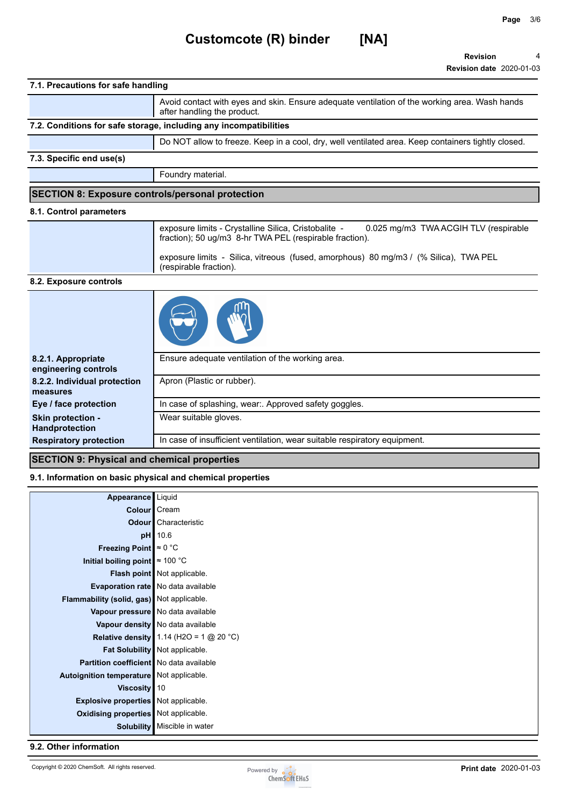# **Customcote (R) binder [NA]**

**Revision Revision date** 2020-01-03 4

| 7.1. Precautions for safe handling |                                                                                                                              |  |  |
|------------------------------------|------------------------------------------------------------------------------------------------------------------------------|--|--|
|                                    | Avoid contact with eyes and skin. Ensure adequate ventilation of the working area. Wash hands<br>after handling the product. |  |  |
|                                    | 7.2. Conditions for safe storage, including any incompatibilities                                                            |  |  |
|                                    | Do NOT allow to freeze. Keep in a cool, dry, well ventilated area. Keep containers tightly closed.                           |  |  |
| 7.3. Specific end use(s)           |                                                                                                                              |  |  |
|                                    | Foundry material.                                                                                                            |  |  |
|                                    | <b>SECTION 8: Exposure controls/personal protection</b>                                                                      |  |  |
| 8.1. Control parameters            |                                                                                                                              |  |  |
|                                    | exposure limits - Crystalline Silica, Cristobalite -<br>0.025 mg/m3 TWA ACGIH TLV (respirable                                |  |  |

| 0.025 mg/m3 TWA ACGIH TLV (respirable<br>exposure limits - Crystalline Silica, Cristobalite -<br>fraction); 50 ug/m3 8-hr TWA PEL (respirable fraction). |
|----------------------------------------------------------------------------------------------------------------------------------------------------------|
| exposure limits - Silica, vitreous (fused, amorphous) 80 mg/m3 / (% Silica), TWA PEL<br>(respirable fraction).                                           |

## **8.2. Exposure controls**

| 8.2.1. Appropriate            | Ensure adequate ventilation of the working area.                          |  |
|-------------------------------|---------------------------------------------------------------------------|--|
| engineering controls          |                                                                           |  |
| 8.2.2. Individual protection  | Apron (Plastic or rubber).                                                |  |
| measures                      |                                                                           |  |
| Eye / face protection         | In case of splashing, wear:. Approved safety goggles.                     |  |
| <b>Skin protection -</b>      | Wear suitable gloves.                                                     |  |
| Handprotection                |                                                                           |  |
| <b>Respiratory protection</b> | In case of insufficient ventilation, wear suitable respiratory equipment. |  |
|                               |                                                                           |  |

## **SECTION 9: Physical and chemical properties**

## **9.1. Information on basic physical and chemical properties**

| Appearance Liquid                           |                                           |
|---------------------------------------------|-------------------------------------------|
| Colour   Cream                              |                                           |
|                                             | <b>Odour</b> Characteristic               |
|                                             | <b>pH</b> 10.6                            |
| Freezing Point $\approx 0$ °C               |                                           |
| Initial boiling point $\approx 100$ °C      |                                           |
|                                             | Flash point Not applicable.               |
|                                             | Evaporation rate   No data available      |
| Flammability (solid, gas) Not applicable.   |                                           |
|                                             | Vapour pressure   No data available       |
|                                             | Vapour density   No data available        |
|                                             | Relative density 1.14 (H2O = 1 $@$ 20 °C) |
|                                             | Fat Solubility Not applicable.            |
| Partition coefficient   No data available   |                                           |
| Autoignition temperature Not applicable.    |                                           |
| Viscosity $ 10$                             |                                           |
| <b>Explosive properties</b> Not applicable. |                                           |
| <b>Oxidising properties</b> Not applicable. |                                           |
|                                             | Solubility   Miscible in water            |

## **9.2. Other information**

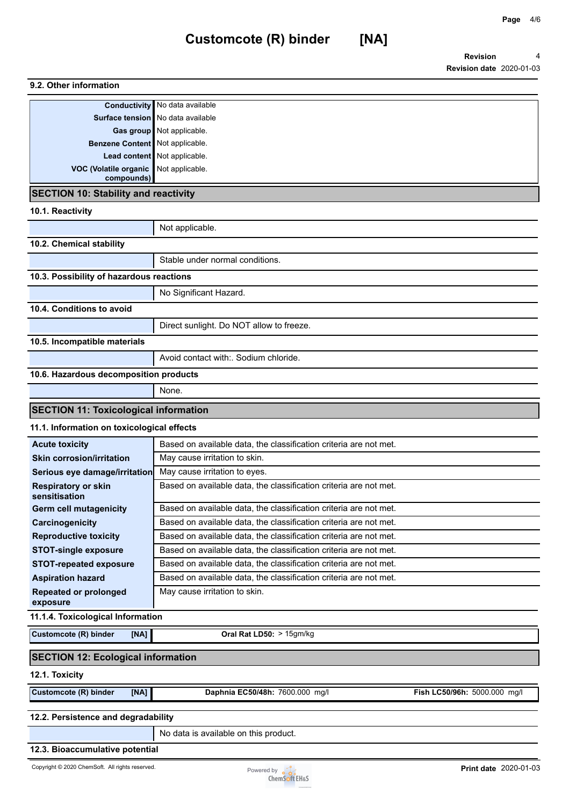**Page** 4/6

## **9.2. Other information Conductivity** No data available **Surface tension** No data available **Gas group** Not applicable. **Benzene Content** Not applicable. **Lead content** Not applicable.

**SECTION 10: Stability and reactivity**

**compounds)**

**VOC (Volatile organic**  Not applicable.

## **10.1. Reactivity**

|                                              | Not applicable.                          |  |  |  |
|----------------------------------------------|------------------------------------------|--|--|--|
| 10.2. Chemical stability                     |                                          |  |  |  |
|                                              | Stable under normal conditions.          |  |  |  |
| 10.3. Possibility of hazardous reactions     |                                          |  |  |  |
|                                              | No Significant Hazard.                   |  |  |  |
| 10.4. Conditions to avoid                    |                                          |  |  |  |
|                                              | Direct sunlight. Do NOT allow to freeze. |  |  |  |
| 10.5. Incompatible materials                 |                                          |  |  |  |
|                                              | Avoid contact with: Sodium chloride.     |  |  |  |
| 10.6. Hazardous decomposition products       |                                          |  |  |  |
|                                              | None.                                    |  |  |  |
| <b>SECTION 11: Toxicological information</b> |                                          |  |  |  |

## **11.1. Information on toxicological effects**

| <b>Acute toxicity</b>                       | Based on available data, the classification criteria are not met. |  |
|---------------------------------------------|-------------------------------------------------------------------|--|
| <b>Skin corrosion/irritation</b>            | May cause irritation to skin.                                     |  |
| Serious eye damage/irritation               | May cause irritation to eyes.                                     |  |
| <b>Respiratory or skin</b><br>sensitisation | Based on available data, the classification criteria are not met. |  |
| <b>Germ cell mutagenicity</b>               | Based on available data, the classification criteria are not met. |  |
| Carcinogenicity                             | Based on available data, the classification criteria are not met. |  |
| <b>Reproductive toxicity</b>                | Based on available data, the classification criteria are not met. |  |
| <b>STOT-single exposure</b>                 | Based on available data, the classification criteria are not met. |  |
| <b>STOT-repeated exposure</b>               | Based on available data, the classification criteria are not met. |  |
| <b>Aspiration hazard</b>                    | Based on available data, the classification criteria are not met. |  |
| <b>Repeated or prolonged</b><br>exposure    | May cause irritation to skin.                                     |  |

#### **11.1.4. Toxicological Information**

| Customcote (R) binder | [NA] | <b>Oral Rat LD50:</b> $> 15gm/kg$ |
|-----------------------|------|-----------------------------------|

## **SECTION 12: Ecological information**

## **12.1. Toxicity**

**Customcote (R) binder [NA] Daphnia EC50/48h:** 7600.000 mg/l **Fish LC50/96h:** 5000.000 mg/l

## **12.2. Persistence and degradability**

No data is available on this product.

## **12.3. Bioaccumulative potential**

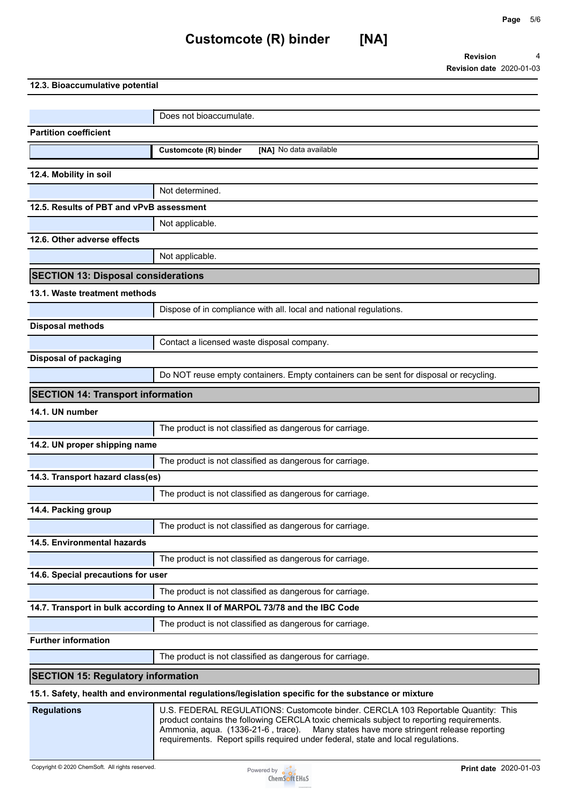# **Customcote (R) binder [NA]**

**Revision Revision date** 2020-01-03 4

| 12.3. Bioaccumulative potential |  |
|---------------------------------|--|
|---------------------------------|--|

|                                            | Does not bioaccumulate.                                                                                                                                                                                                                                                                                                                                      |
|--------------------------------------------|--------------------------------------------------------------------------------------------------------------------------------------------------------------------------------------------------------------------------------------------------------------------------------------------------------------------------------------------------------------|
| <b>Partition coefficient</b>               |                                                                                                                                                                                                                                                                                                                                                              |
|                                            | Customcote (R) binder<br>[NA] No data available                                                                                                                                                                                                                                                                                                              |
| 12.4. Mobility in soil                     |                                                                                                                                                                                                                                                                                                                                                              |
|                                            | Not determined.                                                                                                                                                                                                                                                                                                                                              |
| 12.5. Results of PBT and vPvB assessment   |                                                                                                                                                                                                                                                                                                                                                              |
|                                            | Not applicable.                                                                                                                                                                                                                                                                                                                                              |
| 12.6. Other adverse effects                |                                                                                                                                                                                                                                                                                                                                                              |
|                                            | Not applicable.                                                                                                                                                                                                                                                                                                                                              |
|                                            |                                                                                                                                                                                                                                                                                                                                                              |
| <b>SECTION 13: Disposal considerations</b> |                                                                                                                                                                                                                                                                                                                                                              |
| 13.1. Waste treatment methods              |                                                                                                                                                                                                                                                                                                                                                              |
|                                            | Dispose of in compliance with all. local and national regulations.                                                                                                                                                                                                                                                                                           |
| <b>Disposal methods</b>                    |                                                                                                                                                                                                                                                                                                                                                              |
|                                            | Contact a licensed waste disposal company.                                                                                                                                                                                                                                                                                                                   |
| <b>Disposal of packaging</b>               |                                                                                                                                                                                                                                                                                                                                                              |
|                                            | Do NOT reuse empty containers. Empty containers can be sent for disposal or recycling.                                                                                                                                                                                                                                                                       |
| <b>SECTION 14: Transport information</b>   |                                                                                                                                                                                                                                                                                                                                                              |
| 14.1. UN number                            |                                                                                                                                                                                                                                                                                                                                                              |
|                                            | The product is not classified as dangerous for carriage.                                                                                                                                                                                                                                                                                                     |
| 14.2. UN proper shipping name              |                                                                                                                                                                                                                                                                                                                                                              |
|                                            | The product is not classified as dangerous for carriage.                                                                                                                                                                                                                                                                                                     |
| 14.3. Transport hazard class(es)           |                                                                                                                                                                                                                                                                                                                                                              |
|                                            | The product is not classified as dangerous for carriage.                                                                                                                                                                                                                                                                                                     |
| 14.4. Packing group                        |                                                                                                                                                                                                                                                                                                                                                              |
|                                            | $\overline{\phantom{a}}$<br>The product is not classified as dangerous for carriage.                                                                                                                                                                                                                                                                         |
| 14.5. Environmental hazards                |                                                                                                                                                                                                                                                                                                                                                              |
|                                            | The product is not classified as dangerous for carriage.                                                                                                                                                                                                                                                                                                     |
| 14.6. Special precautions for user         |                                                                                                                                                                                                                                                                                                                                                              |
|                                            | The product is not classified as dangerous for carriage.                                                                                                                                                                                                                                                                                                     |
|                                            | 14.7. Transport in bulk according to Annex II of MARPOL 73/78 and the IBC Code                                                                                                                                                                                                                                                                               |
|                                            | The product is not classified as dangerous for carriage.                                                                                                                                                                                                                                                                                                     |
| <b>Further information</b>                 |                                                                                                                                                                                                                                                                                                                                                              |
|                                            | The product is not classified as dangerous for carriage.                                                                                                                                                                                                                                                                                                     |
| <b>SECTION 15: Regulatory information</b>  |                                                                                                                                                                                                                                                                                                                                                              |
|                                            | 15.1. Safety, health and environmental regulations/legislation specific for the substance or mixture                                                                                                                                                                                                                                                         |
| <b>Regulations</b>                         | U.S. FEDERAL REGULATIONS: Customcote binder. CERCLA 103 Reportable Quantity: This<br>product contains the following CERCLA toxic chemicals subject to reporting requirements.<br>Many states have more stringent release reporting<br>Ammonia, aqua. (1336-21-6, trace).<br>requirements. Report spills required under federal, state and local regulations. |